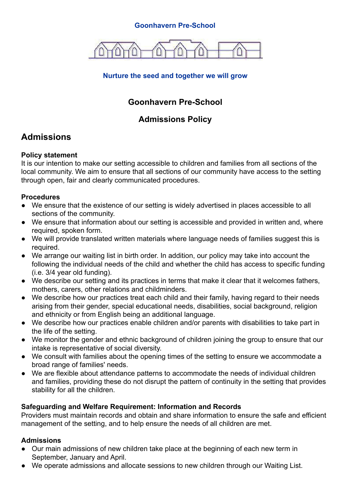#### **Goonhavern Pre-School**



### **Nurture the seed and together we will grow**

## **Goonhavern Pre-School**

## **Admissions Policy**

# **Admissions**

#### **Policy statement**

It is our intention to make our setting accessible to children and families from all sections of the local community. We aim to ensure that all sections of our community have access to the setting through open, fair and clearly communicated procedures.

#### **Procedures**

- We ensure that the existence of our setting is widely advertised in places accessible to all sections of the community.
- We ensure that information about our setting is accessible and provided in written and, where required, spoken form.
- We will provide translated written materials where language needs of families suggest this is required.
- We arrange our waiting list in birth order. In addition, our policy may take into account the following the individual needs of the child and whether the child has access to specific funding (i.e. 3/4 year old funding).
- We describe our setting and its practices in terms that make it clear that it welcomes fathers, mothers, carers, other relations and childminders.
- We describe how our practices treat each child and their family, having regard to their needs arising from their gender, special educational needs, disabilities, social background, religion and ethnicity or from English being an additional language.
- We describe how our practices enable children and/or parents with disabilities to take part in the life of the setting.
- We monitor the gender and ethnic background of children joining the group to ensure that our intake is representative of social diversity.
- We consult with families about the opening times of the setting to ensure we accommodate a broad range of families' needs.
- We are flexible about attendance patterns to accommodate the needs of individual children and families, providing these do not disrupt the pattern of continuity in the setting that provides stability for all the children.

#### **Safeguarding and Welfare Requirement: Information and Records**

Providers must maintain records and obtain and share information to ensure the safe and efficient management of the setting, and to help ensure the needs of all children are met.

#### **Admissions**

- Our main admissions of new children take place at the beginning of each new term in September, January and April.
- We operate admissions and allocate sessions to new children through our Waiting List.